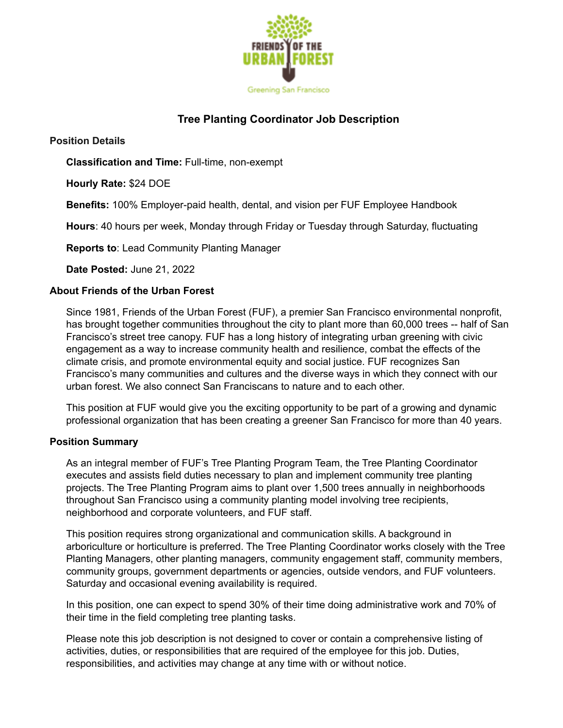

# **Tree Planting Coordinator Job Description**

**Position Details**

**Classification and Time:** Full-time, non-exempt

**Hourly Rate:** \$24 DOE

**Benefits:** 100% Employer-paid health, dental, and vision per FUF Employee Handbook

**Hours**: 40 hours per week, Monday through Friday or Tuesday through Saturday, fluctuating

**Reports to**: Lead Community Planting Manager

**Date Posted:** June 21, 2022

#### **About Friends of the Urban Forest**

Since 1981, Friends of the Urban Forest (FUF), a premier San Francisco environmental nonprofit, has brought together communities throughout the city to plant more than 60,000 trees -- half of San Francisco's street tree canopy. FUF has a long history of integrating urban greening with civic engagement as a way to increase community health and resilience, combat the effects of the climate crisis, and promote environmental equity and social justice. FUF recognizes San Francisco's many communities and cultures and the diverse ways in which they connect with our urban forest. We also connect San Franciscans to nature and to each other.

This position at FUF would give you the exciting opportunity to be part of a growing and dynamic professional organization that has been creating a greener San Francisco for more than 40 years.

#### **Position Summary**

As an integral member of FUF's Tree Planting Program Team, the Tree Planting Coordinator executes and assists field duties necessary to plan and implement community tree planting projects. The Tree Planting Program aims to plant over 1,500 trees annually in neighborhoods throughout San Francisco using a community planting model involving tree recipients, neighborhood and corporate volunteers, and FUF staff.

This position requires strong organizational and communication skills. A background in arboriculture or horticulture is preferred. The Tree Planting Coordinator works closely with the Tree Planting Managers, other planting managers, community engagement staff, community members, community groups, government departments or agencies, outside vendors, and FUF volunteers. Saturday and occasional evening availability is required.

In this position, one can expect to spend 30% of their time doing administrative work and 70% of their time in the field completing tree planting tasks.

Please note this job description is not designed to cover or contain a comprehensive listing of activities, duties, or responsibilities that are required of the employee for this job. Duties, responsibilities, and activities may change at any time with or without notice.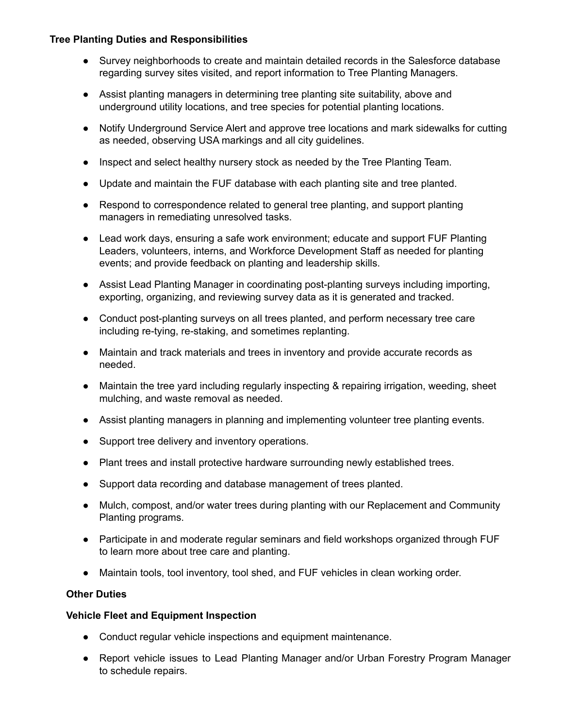### **Tree Planting Duties and Responsibilities**

- Survey neighborhoods to create and maintain detailed records in the Salesforce database regarding survey sites visited, and report information to Tree Planting Managers.
- Assist planting managers in determining tree planting site suitability, above and underground utility locations, and tree species for potential planting locations.
- Notify Underground Service Alert and approve tree locations and mark sidewalks for cutting as needed, observing USA markings and all city guidelines.
- Inspect and select healthy nursery stock as needed by the Tree Planting Team.
- Update and maintain the FUF database with each planting site and tree planted.
- Respond to correspondence related to general tree planting, and support planting managers in remediating unresolved tasks.
- Lead work days, ensuring a safe work environment; educate and support FUF Planting Leaders, volunteers, interns, and Workforce Development Staff as needed for planting events; and provide feedback on planting and leadership skills.
- Assist Lead Planting Manager in coordinating post-planting surveys including importing, exporting, organizing, and reviewing survey data as it is generated and tracked.
- Conduct post-planting surveys on all trees planted, and perform necessary tree care including re-tying, re-staking, and sometimes replanting.
- Maintain and track materials and trees in inventory and provide accurate records as needed.
- Maintain the tree yard including regularly inspecting & repairing irrigation, weeding, sheet mulching, and waste removal as needed.
- Assist planting managers in planning and implementing volunteer tree planting events.
- Support tree delivery and inventory operations.
- Plant trees and install protective hardware surrounding newly established trees.
- Support data recording and database management of trees planted.
- Mulch, compost, and/or water trees during planting with our Replacement and Community Planting programs.
- Participate in and moderate regular seminars and field workshops organized through FUF to learn more about tree care and planting.
- Maintain tools, tool inventory, tool shed, and FUF vehicles in clean working order.

# **Other Duties**

# **Vehicle Fleet and Equipment Inspection**

- Conduct regular vehicle inspections and equipment maintenance.
- Report vehicle issues to Lead Planting Manager and/or Urban Forestry Program Manager to schedule repairs.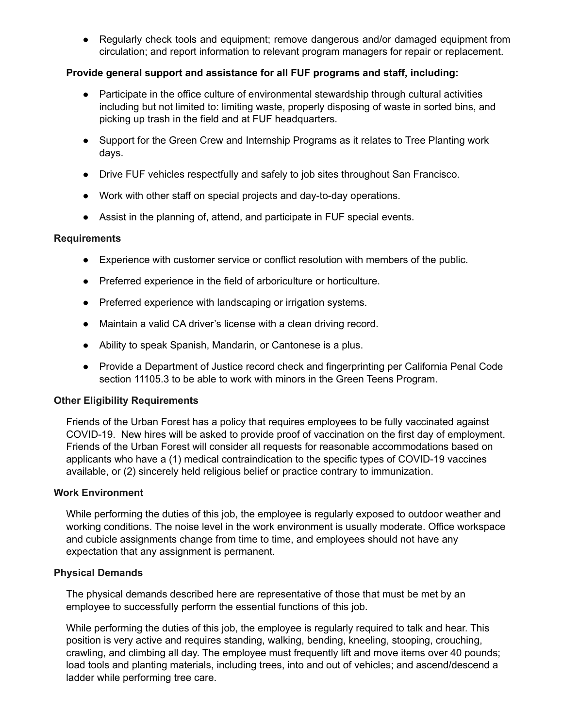● Regularly check tools and equipment; remove dangerous and/or damaged equipment from circulation; and report information to relevant program managers for repair or replacement.

### **Provide general support and assistance for all FUF programs and staff, including:**

- Participate in the office culture of environmental stewardship through cultural activities including but not limited to: limiting waste, properly disposing of waste in sorted bins, and picking up trash in the field and at FUF headquarters.
- Support for the Green Crew and Internship Programs as it relates to Tree Planting work days.
- Drive FUF vehicles respectfully and safely to job sites throughout San Francisco.
- Work with other staff on special projects and day-to-day operations.
- Assist in the planning of, attend, and participate in FUF special events.

#### **Requirements**

- Experience with customer service or conflict resolution with members of the public.
- Preferred experience in the field of arboriculture or horticulture.
- Preferred experience with landscaping or irrigation systems.
- Maintain a valid CA driver's license with a clean driving record.
- Ability to speak Spanish, Mandarin, or Cantonese is a plus.
- Provide a Department of Justice record check and fingerprinting per California Penal Code section 11105.3 to be able to work with minors in the Green Teens Program.

#### **Other Eligibility Requirements**

Friends of the Urban Forest has a policy that requires employees to be fully vaccinated against COVID-19. New hires will be asked to provide proof of vaccination on the first day of employment. Friends of the Urban Forest will consider all requests for reasonable accommodations based on applicants who have a (1) medical contraindication to the specific types of COVID-19 vaccines available, or (2) sincerely held religious belief or practice contrary to immunization.

#### **Work Environment**

While performing the duties of this job, the employee is regularly exposed to outdoor weather and working conditions. The noise level in the work environment is usually moderate. Office workspace and cubicle assignments change from time to time, and employees should not have any expectation that any assignment is permanent.

#### **Physical Demands**

The physical demands described here are representative of those that must be met by an employee to successfully perform the essential functions of this job.

While performing the duties of this job, the employee is regularly required to talk and hear. This position is very active and requires standing, walking, bending, kneeling, stooping, crouching, crawling, and climbing all day. The employee must frequently lift and move items over 40 pounds; load tools and planting materials, including trees, into and out of vehicles; and ascend/descend a ladder while performing tree care.